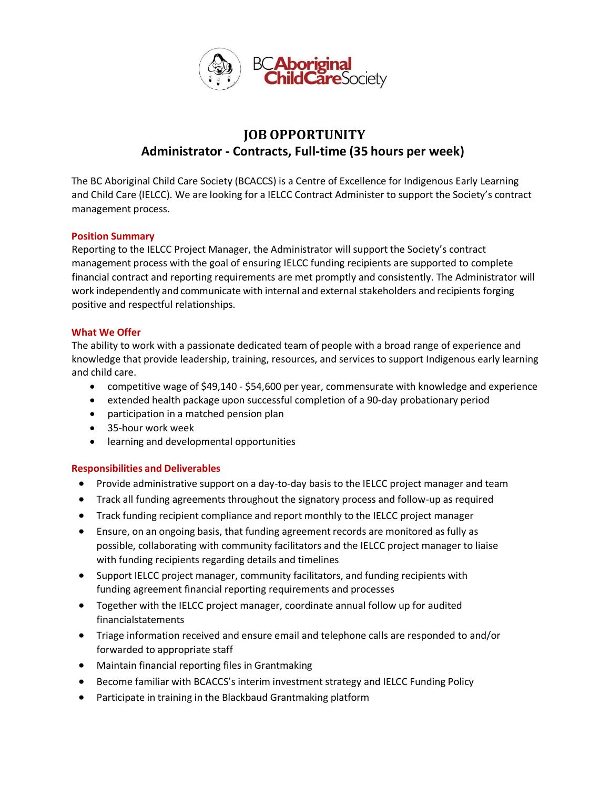

# **JOB OPPORTUNITY Administrator - Contracts, Full-time (35 hours per week)**

The BC Aboriginal Child Care Society (BCACCS) is a Centre of Excellence for Indigenous Early Learning and Child Care (IELCC). We are looking for a IELCC Contract Administer to support the Society's contract management process.

## **Position Summary**

Reporting to the IELCC Project Manager, the Administrator will support the Society's contract management process with the goal of ensuring IELCC funding recipients are supported to complete financial contract and reporting requirements are met promptly and consistently. The Administrator will work independently and communicate with internal and external stakeholders and recipients forging positive and respectful relationships.

## **What We Offer**

The ability to work with a passionate dedicated team of people with a broad range of experience and knowledge that provide leadership, training, resources, and services to support Indigenous early learning and child care.

- competitive wage of \$49,140 \$54,600 per year, commensurate with knowledge and experience
- extended health package upon successful completion of a 90-day probationary period
- participation in a matched pension plan
- 35-hour work week
- learning and developmental opportunities

## **Responsibilities and Deliverables**

- Provide administrative support on a day-to-day basis to the IELCC project manager and team
- Track all funding agreements throughout the signatory process and follow-up as required
- Track funding recipient compliance and report monthly to the IELCC project manager
- Ensure, on an ongoing basis, that funding agreement records are monitored as fully as possible, collaborating with community facilitators and the IELCC project manager to liaise with funding recipients regarding details and timelines
- Support IELCC project manager, community facilitators, and funding recipients with funding agreement financial reporting requirements and processes
- Together with the IELCC project manager, coordinate annual follow up for audited financialstatements
- Triage information received and ensure email and telephone calls are responded to and/or forwarded to appropriate staff
- Maintain financial reporting files in Grantmaking
- Become familiar with BCACCS's interim investment strategy and IELCC Funding Policy
- Participate in training in the Blackbaud Grantmaking platform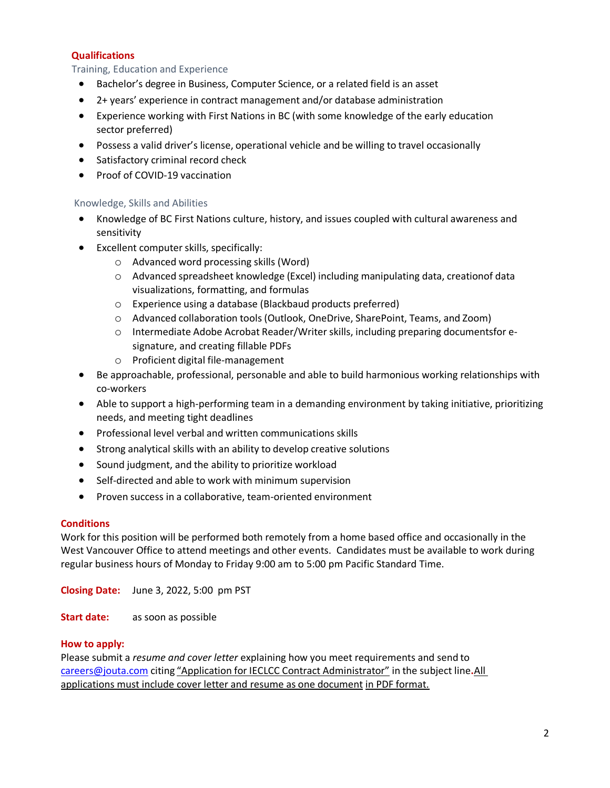# **Qualifications**

# Training, Education and Experience

- Bachelor's degree in Business, Computer Science, or a related field is an asset
- 2+ years' experience in contract management and/or database administration
- Experience working with First Nations in BC (with some knowledge of the early education sector preferred)
- Possess a valid driver's license, operational vehicle and be willing to travel occasionally
- Satisfactory criminal record check
- Proof of COVID-19 vaccination

## Knowledge, Skills and Abilities

- Knowledge of BC First Nations culture, history, and issues coupled with cultural awareness and sensitivity
- Excellent computer skills, specifically:
	- o Advanced word processing skills (Word)
	- o Advanced spreadsheet knowledge (Excel) including manipulating data, creationof data visualizations, formatting, and formulas
	- o Experience using a database (Blackbaud products preferred)
	- o Advanced collaboration tools (Outlook, OneDrive, SharePoint, Teams, and Zoom)
	- o Intermediate Adobe Acrobat Reader/Writer skills, including preparing documentsfor esignature, and creating fillable PDFs
	- o Proficient digital file-management
- Be approachable, professional, personable and able to build harmonious working relationships with co-workers
- Able to support a high-performing team in a demanding environment by taking initiative, prioritizing needs, and meeting tight deadlines
- Professional level verbal and written communications skills
- Strong analytical skills with an ability to develop creative solutions
- Sound judgment, and the ability to prioritize workload
- Self-directed and able to work with minimum supervision
- Proven success in a collaborative, team-oriented environment

## **Conditions**

Work for this position will be performed both remotely from a home based office and occasionally in the West Vancouver Office to attend meetings and other events. Candidates must be available to work during regular business hours of Monday to Friday 9:00 am to 5:00 pm Pacific Standard Time.

**Closing Date:** June 3, 2022, 5:00 pm PST

**Start date:** as soon as possible

## **How to apply:**

Please submit a *resume and cover letter* explaining how you meet requirements and send to [careers@jouta.com](mailto:careers@jouta.com) citing "Application for IECLCC Contract Administrator" in the subject line**.** All applications must include cover letter and resume as one document in PDF format.